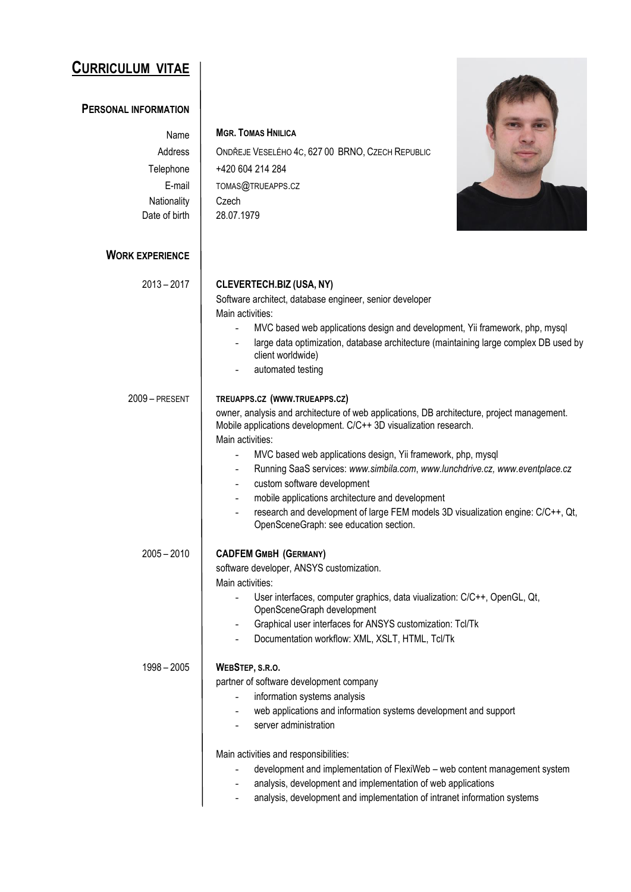## **CURRICULUM VITAE**

## **PERSONAL INFORMATION**

## Name **MGR. TOMAS HNILICA**

Telephone | +420 604 214 284

E-mail | TOMAS@TRUEAPPS.CZ

Address | ONDŘEJE VESELÉHO 4C, 627 00 BRNO, CZECH REPUBLIC



| Date of birth<br>28.07.1979<br><b>WORK EXPERIENCE</b><br>$2013 - 2017$<br>CLEVERTECH.BIZ (USA, NY)<br>Software architect, database engineer, senior developer<br>Main activities:<br>MVC based web applications design and development, Yii framework, php, mysql<br>client worldwide)<br>automated testing<br>TREUAPPS.CZ (WWW.TRUEAPPS.CZ)<br>2009 - PRESENT<br>owner, analysis and architecture of web applications, DB architecture, project management.<br>Mobile applications development. C/C++ 3D visualization research.<br>Main activities:<br>MVC based web applications design, Yii framework, php, mysql<br>Running SaaS services: www.simbila.com, www.lunchdrive.cz, www.eventplace.cz<br>custom software development<br>$\overline{\phantom{a}}$<br>mobile applications architecture and development<br>research and development of large FEM models 3D visualization engine: C/C++, Qt,<br>OpenSceneGraph: see education section.<br>$2005 - 2010$<br><b>CADFEM GMBH (GERMANY)</b><br>software developer, ANSYS customization.<br>Main activities:<br>User interfaces, computer graphics, data viualization: C/C++, OpenGL, Qt, | Nationality   | Czech                                                                                |
|--------------------------------------------------------------------------------------------------------------------------------------------------------------------------------------------------------------------------------------------------------------------------------------------------------------------------------------------------------------------------------------------------------------------------------------------------------------------------------------------------------------------------------------------------------------------------------------------------------------------------------------------------------------------------------------------------------------------------------------------------------------------------------------------------------------------------------------------------------------------------------------------------------------------------------------------------------------------------------------------------------------------------------------------------------------------------------------------------------------------------------------------------|---------------|--------------------------------------------------------------------------------------|
|                                                                                                                                                                                                                                                                                                                                                                                                                                                                                                                                                                                                                                                                                                                                                                                                                                                                                                                                                                                                                                                                                                                                                  |               |                                                                                      |
|                                                                                                                                                                                                                                                                                                                                                                                                                                                                                                                                                                                                                                                                                                                                                                                                                                                                                                                                                                                                                                                                                                                                                  |               |                                                                                      |
|                                                                                                                                                                                                                                                                                                                                                                                                                                                                                                                                                                                                                                                                                                                                                                                                                                                                                                                                                                                                                                                                                                                                                  |               |                                                                                      |
|                                                                                                                                                                                                                                                                                                                                                                                                                                                                                                                                                                                                                                                                                                                                                                                                                                                                                                                                                                                                                                                                                                                                                  |               |                                                                                      |
|                                                                                                                                                                                                                                                                                                                                                                                                                                                                                                                                                                                                                                                                                                                                                                                                                                                                                                                                                                                                                                                                                                                                                  |               |                                                                                      |
|                                                                                                                                                                                                                                                                                                                                                                                                                                                                                                                                                                                                                                                                                                                                                                                                                                                                                                                                                                                                                                                                                                                                                  |               |                                                                                      |
|                                                                                                                                                                                                                                                                                                                                                                                                                                                                                                                                                                                                                                                                                                                                                                                                                                                                                                                                                                                                                                                                                                                                                  |               |                                                                                      |
|                                                                                                                                                                                                                                                                                                                                                                                                                                                                                                                                                                                                                                                                                                                                                                                                                                                                                                                                                                                                                                                                                                                                                  |               | large data optimization, database architecture (maintaining large complex DB used by |
|                                                                                                                                                                                                                                                                                                                                                                                                                                                                                                                                                                                                                                                                                                                                                                                                                                                                                                                                                                                                                                                                                                                                                  |               |                                                                                      |
|                                                                                                                                                                                                                                                                                                                                                                                                                                                                                                                                                                                                                                                                                                                                                                                                                                                                                                                                                                                                                                                                                                                                                  |               |                                                                                      |
|                                                                                                                                                                                                                                                                                                                                                                                                                                                                                                                                                                                                                                                                                                                                                                                                                                                                                                                                                                                                                                                                                                                                                  |               |                                                                                      |
|                                                                                                                                                                                                                                                                                                                                                                                                                                                                                                                                                                                                                                                                                                                                                                                                                                                                                                                                                                                                                                                                                                                                                  |               |                                                                                      |
|                                                                                                                                                                                                                                                                                                                                                                                                                                                                                                                                                                                                                                                                                                                                                                                                                                                                                                                                                                                                                                                                                                                                                  |               |                                                                                      |
|                                                                                                                                                                                                                                                                                                                                                                                                                                                                                                                                                                                                                                                                                                                                                                                                                                                                                                                                                                                                                                                                                                                                                  |               |                                                                                      |
|                                                                                                                                                                                                                                                                                                                                                                                                                                                                                                                                                                                                                                                                                                                                                                                                                                                                                                                                                                                                                                                                                                                                                  |               |                                                                                      |
|                                                                                                                                                                                                                                                                                                                                                                                                                                                                                                                                                                                                                                                                                                                                                                                                                                                                                                                                                                                                                                                                                                                                                  |               |                                                                                      |
|                                                                                                                                                                                                                                                                                                                                                                                                                                                                                                                                                                                                                                                                                                                                                                                                                                                                                                                                                                                                                                                                                                                                                  |               |                                                                                      |
|                                                                                                                                                                                                                                                                                                                                                                                                                                                                                                                                                                                                                                                                                                                                                                                                                                                                                                                                                                                                                                                                                                                                                  |               |                                                                                      |
|                                                                                                                                                                                                                                                                                                                                                                                                                                                                                                                                                                                                                                                                                                                                                                                                                                                                                                                                                                                                                                                                                                                                                  |               |                                                                                      |
|                                                                                                                                                                                                                                                                                                                                                                                                                                                                                                                                                                                                                                                                                                                                                                                                                                                                                                                                                                                                                                                                                                                                                  |               |                                                                                      |
|                                                                                                                                                                                                                                                                                                                                                                                                                                                                                                                                                                                                                                                                                                                                                                                                                                                                                                                                                                                                                                                                                                                                                  |               |                                                                                      |
|                                                                                                                                                                                                                                                                                                                                                                                                                                                                                                                                                                                                                                                                                                                                                                                                                                                                                                                                                                                                                                                                                                                                                  |               |                                                                                      |
|                                                                                                                                                                                                                                                                                                                                                                                                                                                                                                                                                                                                                                                                                                                                                                                                                                                                                                                                                                                                                                                                                                                                                  |               |                                                                                      |
|                                                                                                                                                                                                                                                                                                                                                                                                                                                                                                                                                                                                                                                                                                                                                                                                                                                                                                                                                                                                                                                                                                                                                  |               |                                                                                      |
|                                                                                                                                                                                                                                                                                                                                                                                                                                                                                                                                                                                                                                                                                                                                                                                                                                                                                                                                                                                                                                                                                                                                                  |               | OpenSceneGraph development                                                           |
| Graphical user interfaces for ANSYS customization: Tcl/Tk                                                                                                                                                                                                                                                                                                                                                                                                                                                                                                                                                                                                                                                                                                                                                                                                                                                                                                                                                                                                                                                                                        |               |                                                                                      |
| Documentation workflow: XML, XSLT, HTML, Tcl/Tk                                                                                                                                                                                                                                                                                                                                                                                                                                                                                                                                                                                                                                                                                                                                                                                                                                                                                                                                                                                                                                                                                                  |               |                                                                                      |
| WEBSTEP, S.R.O.                                                                                                                                                                                                                                                                                                                                                                                                                                                                                                                                                                                                                                                                                                                                                                                                                                                                                                                                                                                                                                                                                                                                  | $1998 - 2005$ |                                                                                      |
| partner of software development company                                                                                                                                                                                                                                                                                                                                                                                                                                                                                                                                                                                                                                                                                                                                                                                                                                                                                                                                                                                                                                                                                                          |               |                                                                                      |
| information systems analysis                                                                                                                                                                                                                                                                                                                                                                                                                                                                                                                                                                                                                                                                                                                                                                                                                                                                                                                                                                                                                                                                                                                     |               |                                                                                      |
| web applications and information systems development and support                                                                                                                                                                                                                                                                                                                                                                                                                                                                                                                                                                                                                                                                                                                                                                                                                                                                                                                                                                                                                                                                                 |               |                                                                                      |
| server administration                                                                                                                                                                                                                                                                                                                                                                                                                                                                                                                                                                                                                                                                                                                                                                                                                                                                                                                                                                                                                                                                                                                            |               |                                                                                      |
| Main activities and responsibilities:                                                                                                                                                                                                                                                                                                                                                                                                                                                                                                                                                                                                                                                                                                                                                                                                                                                                                                                                                                                                                                                                                                            |               |                                                                                      |
| development and implementation of FlexiWeb - web content management system                                                                                                                                                                                                                                                                                                                                                                                                                                                                                                                                                                                                                                                                                                                                                                                                                                                                                                                                                                                                                                                                       |               |                                                                                      |
| analysis, development and implementation of web applications                                                                                                                                                                                                                                                                                                                                                                                                                                                                                                                                                                                                                                                                                                                                                                                                                                                                                                                                                                                                                                                                                     |               |                                                                                      |
| analysis, development and implementation of intranet information systems                                                                                                                                                                                                                                                                                                                                                                                                                                                                                                                                                                                                                                                                                                                                                                                                                                                                                                                                                                                                                                                                         |               |                                                                                      |